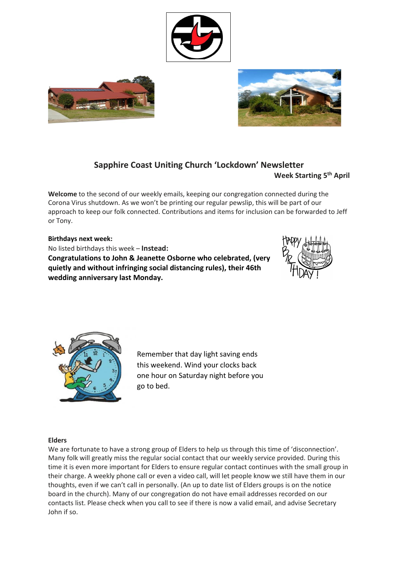





# **Sapphire Coast Uniting Church 'Lockdown' Newsletter**

**Week Starting 5 th April**

**Welcome** to the second of our weekly emails, keeping our congregation connected during the Corona Virus shutdown. As we won't be printing our regular pewslip, this will be part of our approach to keep our folk connected. Contributions and items for inclusion can be forwarded to Jeff or Tony.

### **Birthdays next week:** No listed birthdays this week – **Instead: Congratulations to John & Jeanette Osborne who celebrated, (very quietly and without infringing social distancing rules), their 46th wedding anniversary last Monday.**





Remember that day light saving ends this weekend. Wind your clocks back one hour on Saturday night before you go to bed.

### **Elders**

We are fortunate to have a strong group of Elders to help us through this time of 'disconnection'. Many folk will greatly miss the regular social contact that our weekly service provided. During this time it is even more important for Elders to ensure regular contact continues with the small group in their charge. A weekly phone call or even a video call, will let people know we still have them in our thoughts, even if we can't call in personally. (An up to date list of Elders groups is on the notice board in the church). Many of our congregation do not have email addresses recorded on our contacts list. Please check when you call to see if there is now a valid email, and advise Secretary John if so.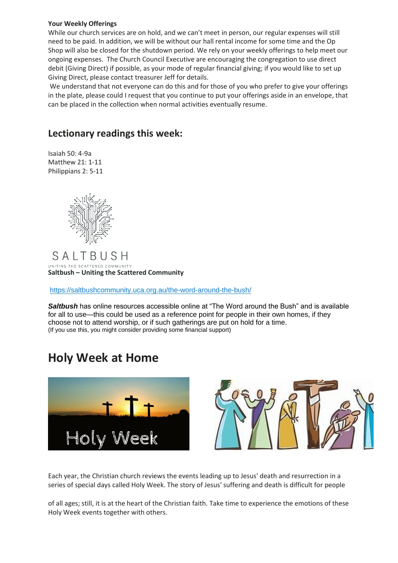#### **Your Weekly Offerings**

While our church services are on hold, and we can't meet in person, our regular expenses will still need to be paid. In addition, we will be without our hall rental income for some time and the Op Shop will also be closed for the shutdown period. We rely on your weekly offerings to help meet our ongoing expenses. The Church Council Executive are encouraging the congregation to use direct debit (Giving Direct) if possible, as your mode of regular financial giving; if you would like to set up Giving Direct, please contact treasurer Jeff for details.

We understand that not everyone can do this and for those of you who prefer to give your offerings in the plate, please could I request that you continue to put your offerings aside in an envelope, that can be placed in the collection when normal activities eventually resume.

## **Lectionary readings this week:**

Isaiah 50: 4-9a Matthew 21: 1-11 Philippians 2: 5-11



SALTBUSH UNITING THE SCATTERED COMMUNITY **Saltbush – Uniting the Scattered Community**

[https://saltbushcommunity.uca.org.au/the-word-around-the-bush/](https://unitingchurch.us7.list-manage.com/track/click?u=8b13db725cf3e4b308fa1fd5a&id=43c988d0b0&e=a6634b5374)

Saltbush has online resources accessible online at "The Word around the Bush" and is available for all to use—this could be used as a reference point for people in their own homes, if they choose not to attend worship, or if such gatherings are put on hold for a time. (If you use this, you might consider providing some financial support)

## **Holy Week at Home**



Each year, the Christian church reviews the events leading up to Jesus' death and resurrection in a series of special days called Holy Week. The story of Jesus' suffering and death is difficult for people

of all ages; still, it is at the heart of the Christian faith. Take time to experience the emotions of these Holy Week events together with others.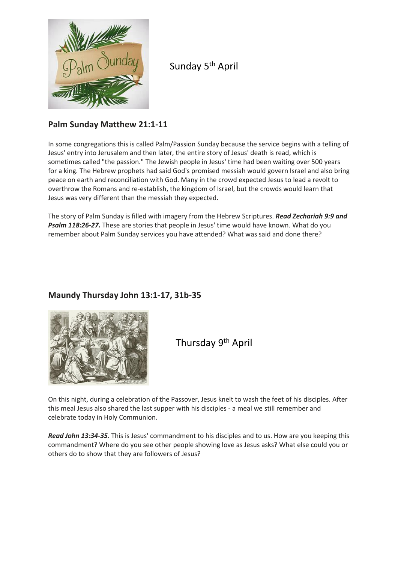

Sunday 5<sup>th</sup> April

## **Palm Sunday Matthew 21:1-11**

In some congregations this is called Palm/Passion Sunday because the service begins with a telling of Jesus' entry into Jerusalem and then later, the entire story of Jesus' death is read, which is sometimes called "the passion." The Jewish people in Jesus' time had been waiting over 500 years for a king. The Hebrew prophets had said God's promised messiah would govern Israel and also bring peace on earth and reconciliation with God. Many in the crowd expected Jesus to lead a revolt to overthrow the Romans and re-establish, the kingdom of Israel, but the crowds would learn that Jesus was very different than the messiah they expected.

The story of Palm Sunday is filled with imagery from the Hebrew Scriptures. *Read Zechariah 9:9 and Psalm 118:26-27.* These are stories that people in Jesus' time would have known. What do you remember about Palm Sunday services you have attended? What was said and done there?

## **Maundy Thursday John 13:1-17, 31b-35**



Thursday 9th April

On this night, during a celebration of the Passover, Jesus knelt to wash the feet of his disciples. After this meal Jesus also shared the last supper with his disciples - a meal we still remember and celebrate today in Holy Communion.

*Read John 13:34-35*. This is Jesus' commandment to his disciples and to us. How are you keeping this commandment? Where do you see other people showing love as Jesus asks? What else could you or others do to show that they are followers of Jesus?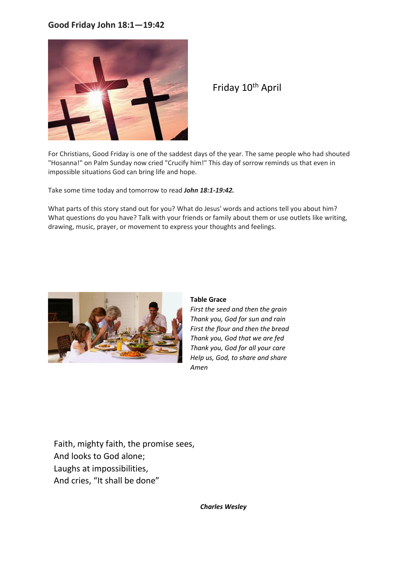### **Good Friday John 18:1—19:42**



Friday 10th April

For Christians, Good Friday is one of the saddest days of the year. The same people who had shouted "Hosanna!" on Palm Sunday now cried "Crucify him!" This day of sorrow reminds us that even in impossible situations God can bring life and hope.

Take some time today and tomorrow to read *John 18:1-19:42.* 

What parts of this story stand out for you? What do Jesus' words and actions tell you about him? What questions do you have? Talk with your friends or family about them or use outlets like writing, drawing, music, prayer, or movement to express your thoughts and feelings.



### **Table Grace**

*First the seed and then the grain Thank you, God for sun and rain First the flour and then the bread Thank you, God that we are fed Thank you, God for all your care Help us, God, to share and share Amen*

Faith, mighty faith, the promise sees, And looks to God alone; Laughs at impossibilities, And cries, "It shall be done"

*Charles Wesley*